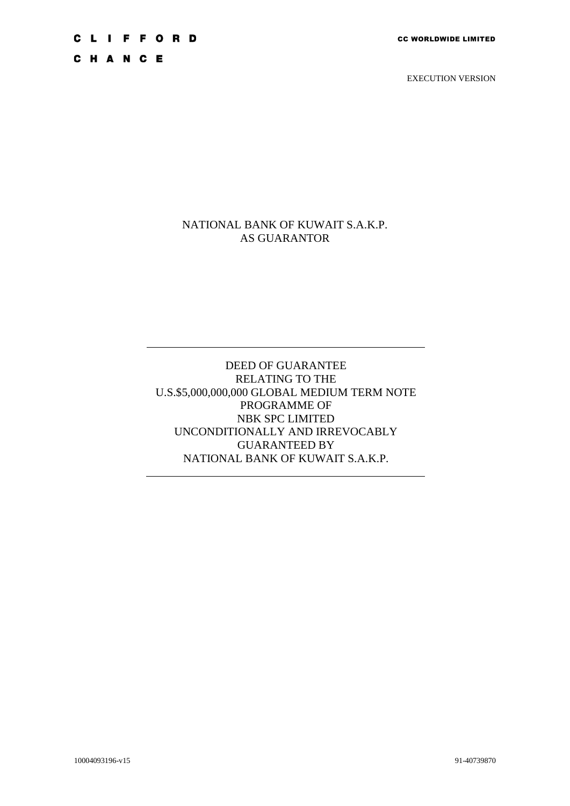**CLIFFORD** 

CHANCE

EXECUTION VERSION

# NATIONAL BANK OF KUWAIT S.A.K.P. AS GUARANTOR

# DEED OF GUARANTEE RELATING TO THE U.S.\$5,000,000,000 GLOBAL MEDIUM TERM NOTE PROGRAMME OF NBK SPC LIMITED UNCONDITIONALLY AND IRREVOCABLY GUARANTEED BY NATIONAL BANK OF KUWAIT S.A.K.P.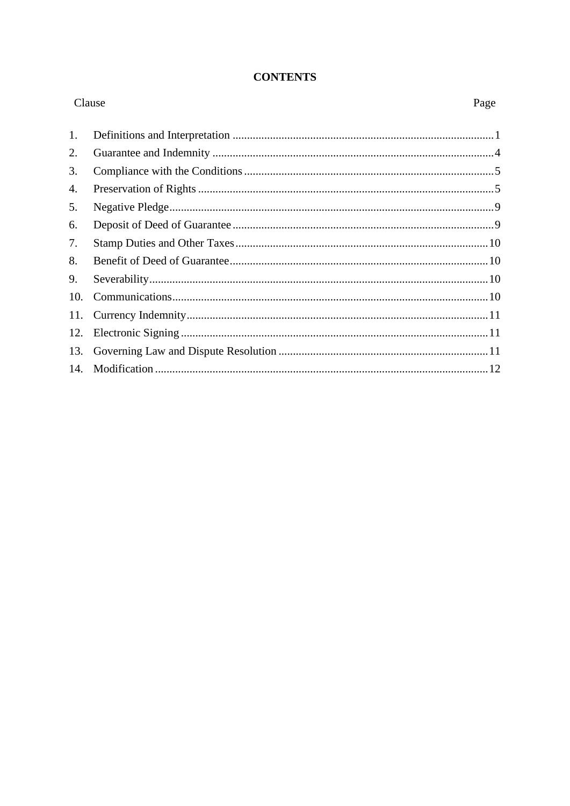# **CONTENTS**

| Clause |  | Page |
|--------|--|------|
| 1.     |  |      |
| 2.     |  |      |
| 3.     |  |      |
| 4.     |  |      |
| 5.     |  |      |
| 6.     |  |      |
| 7.     |  |      |
| 8.     |  |      |
| 9.     |  |      |
| 10.    |  |      |
| 11.    |  |      |
| 12.    |  |      |
| 13.    |  |      |
| 14.    |  |      |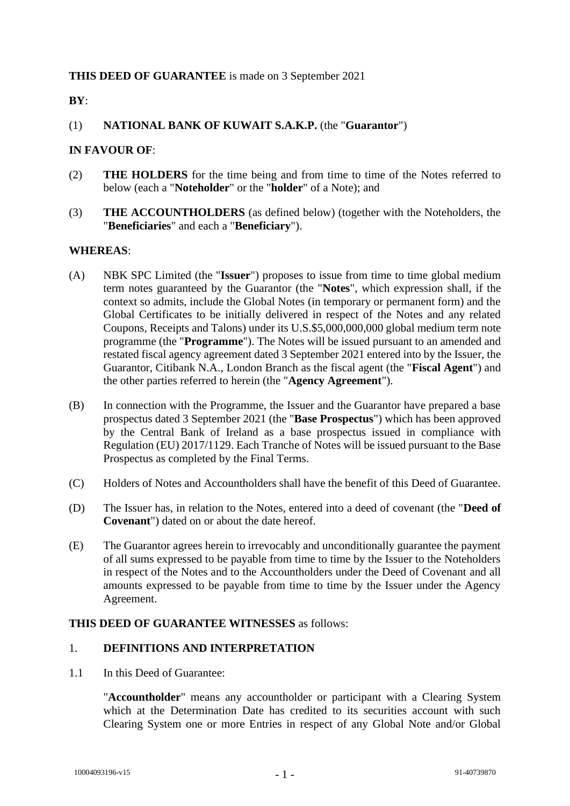# **THIS DEED OF GUARANTEE** is made on 3 September 2021

# **BY**:

# (1) **NATIONAL BANK OF KUWAIT S.A.K.P.** (the "**Guarantor**")

# **IN FAVOUR OF**:

- (2) **THE HOLDERS** for the time being and from time to time of the Notes referred to below (each a "**Noteholder**" or the "**holder**" of a Note); and
- (3) **THE ACCOUNTHOLDERS** (as defined below) (together with the Noteholders, the "**Beneficiaries**" and each a "**Beneficiary**").

# **WHEREAS**:

- (A) NBK SPC Limited (the "**Issuer**") proposes to issue from time to time global medium term notes guaranteed by the Guarantor (the "**Notes**", which expression shall, if the context so admits, include the Global Notes (in temporary or permanent form) and the Global Certificates to be initially delivered in respect of the Notes and any related Coupons, Receipts and Talons) under its U.S.\$5,000,000,000 global medium term note programme (the "**Programme**"). The Notes will be issued pursuant to an amended and restated fiscal agency agreement dated 3 September 2021 entered into by the Issuer, the Guarantor, Citibank N.A., London Branch as the fiscal agent (the "**Fiscal Agent**") and the other parties referred to herein (the "**Agency Agreement**").
- (B) In connection with the Programme, the Issuer and the Guarantor have prepared a base prospectus dated 3 September 2021 (the "**Base Prospectus**") which has been approved by the Central Bank of Ireland as a base prospectus issued in compliance with Regulation (EU) 2017/1129. Each Tranche of Notes will be issued pursuant to the Base Prospectus as completed by the Final Terms.
- (C) Holders of Notes and Accountholders shall have the benefit of this Deed of Guarantee.
- (D) The Issuer has, in relation to the Notes, entered into a deed of covenant (the "**Deed of Covenant**") dated on or about the date hereof.
- (E) The Guarantor agrees herein to irrevocably and unconditionally guarantee the payment of all sums expressed to be payable from time to time by the Issuer to the Noteholders in respect of the Notes and to the Accountholders under the Deed of Covenant and all amounts expressed to be payable from time to time by the Issuer under the Agency Agreement.

# **THIS DEED OF GUARANTEE WITNESSES** as follows:

# 1. **DEFINITIONS AND INTERPRETATION**

1.1 In this Deed of Guarantee:

"**Accountholder**" means any accountholder or participant with a Clearing System which at the Determination Date has credited to its securities account with such Clearing System one or more Entries in respect of any Global Note and/or Global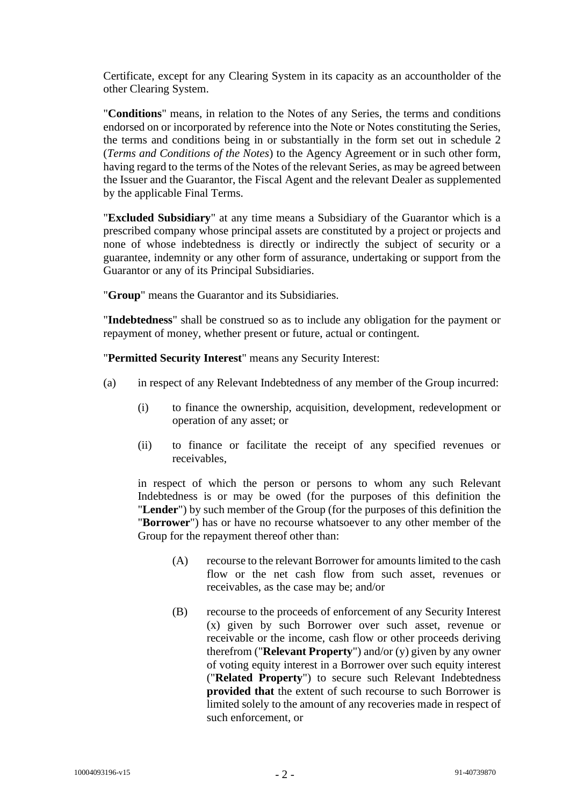Certificate, except for any Clearing System in its capacity as an accountholder of the other Clearing System.

"**Conditions**" means, in relation to the Notes of any Series, the terms and conditions endorsed on or incorporated by reference into the Note or Notes constituting the Series, the terms and conditions being in or substantially in the form set out in schedule 2 (*Terms and Conditions of the Notes*) to the Agency Agreement or in such other form, having regard to the terms of the Notes of the relevant Series, as may be agreed between the Issuer and the Guarantor, the Fiscal Agent and the relevant Dealer as supplemented by the applicable Final Terms.

"**Excluded Subsidiary**" at any time means a Subsidiary of the Guarantor which is a prescribed company whose principal assets are constituted by a project or projects and none of whose indebtedness is directly or indirectly the subject of security or a guarantee, indemnity or any other form of assurance, undertaking or support from the Guarantor or any of its Principal Subsidiaries.

"**Group**" means the Guarantor and its Subsidiaries.

"**Indebtedness**" shall be construed so as to include any obligation for the payment or repayment of money, whether present or future, actual or contingent.

"**Permitted Security Interest**" means any Security Interest:

- (a) in respect of any Relevant Indebtedness of any member of the Group incurred:
	- (i) to finance the ownership, acquisition, development, redevelopment or operation of any asset; or
	- (ii) to finance or facilitate the receipt of any specified revenues or receivables,

in respect of which the person or persons to whom any such Relevant Indebtedness is or may be owed (for the purposes of this definition the "**Lender**") by such member of the Group (for the purposes of this definition the "**Borrower**") has or have no recourse whatsoever to any other member of the Group for the repayment thereof other than:

- (A) recourse to the relevant Borrower for amounts limited to the cash flow or the net cash flow from such asset, revenues or receivables, as the case may be; and/or
- (B) recourse to the proceeds of enforcement of any Security Interest (x) given by such Borrower over such asset, revenue or receivable or the income, cash flow or other proceeds deriving therefrom ("**Relevant Property**") and/or (y) given by any owner of voting equity interest in a Borrower over such equity interest ("**Related Property**") to secure such Relevant Indebtedness **provided that** the extent of such recourse to such Borrower is limited solely to the amount of any recoveries made in respect of such enforcement, or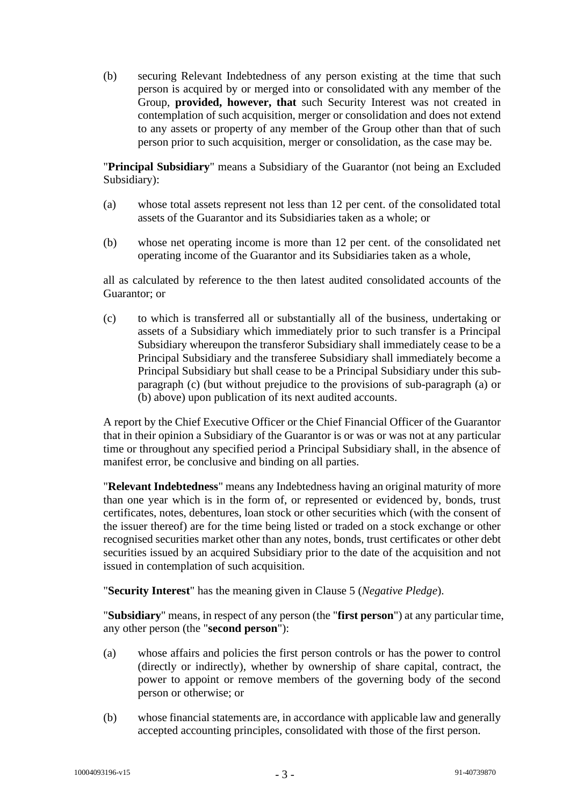(b) securing Relevant Indebtedness of any person existing at the time that such person is acquired by or merged into or consolidated with any member of the Group, **provided, however, that** such Security Interest was not created in contemplation of such acquisition, merger or consolidation and does not extend to any assets or property of any member of the Group other than that of such person prior to such acquisition, merger or consolidation, as the case may be.

"**Principal Subsidiary**" means a Subsidiary of the Guarantor (not being an Excluded Subsidiary):

- <span id="page-4-1"></span>(a) whose total assets represent not less than 12 per cent. of the consolidated total assets of the Guarantor and its Subsidiaries taken as a whole; or
- <span id="page-4-2"></span>(b) whose net operating income is more than 12 per cent. of the consolidated net operating income of the Guarantor and its Subsidiaries taken as a whole,

all as calculated by reference to the then latest audited consolidated accounts of the Guarantor; or

<span id="page-4-0"></span>(c) to which is transferred all or substantially all of the business, undertaking or assets of a Subsidiary which immediately prior to such transfer is a Principal Subsidiary whereupon the transferor Subsidiary shall immediately cease to be a Principal Subsidiary and the transferee Subsidiary shall immediately become a Principal Subsidiary but shall cease to be a Principal Subsidiary under this subparagraph [\(c\)](#page-4-0) (but without prejudice to the provisions of sub-paragraph [\(a\)](#page-4-1) or [\(b\)](#page-4-2) above) upon publication of its next audited accounts.

A report by the Chief Executive Officer or the Chief Financial Officer of the Guarantor that in their opinion a Subsidiary of the Guarantor is or was or was not at any particular time or throughout any specified period a Principal Subsidiary shall, in the absence of manifest error, be conclusive and binding on all parties.

"**Relevant Indebtedness**" means any Indebtedness having an original maturity of more than one year which is in the form of, or represented or evidenced by, bonds, trust certificates, notes, debentures, loan stock or other securities which (with the consent of the issuer thereof) are for the time being listed or traded on a stock exchange or other recognised securities market other than any notes, bonds, trust certificates or other debt securities issued by an acquired Subsidiary prior to the date of the acquisition and not issued in contemplation of such acquisition.

"**Security Interest**" has the meaning given in Clause [5](#page-10-0) (*Negative Pledge*).

"**Subsidiary**" means, in respect of any person (the "**first person**") at any particular time, any other person (the "**second person**"):

- (a) whose affairs and policies the first person controls or has the power to control (directly or indirectly), whether by ownership of share capital, contract, the power to appoint or remove members of the governing body of the second person or otherwise; or
- (b) whose financial statements are, in accordance with applicable law and generally accepted accounting principles, consolidated with those of the first person.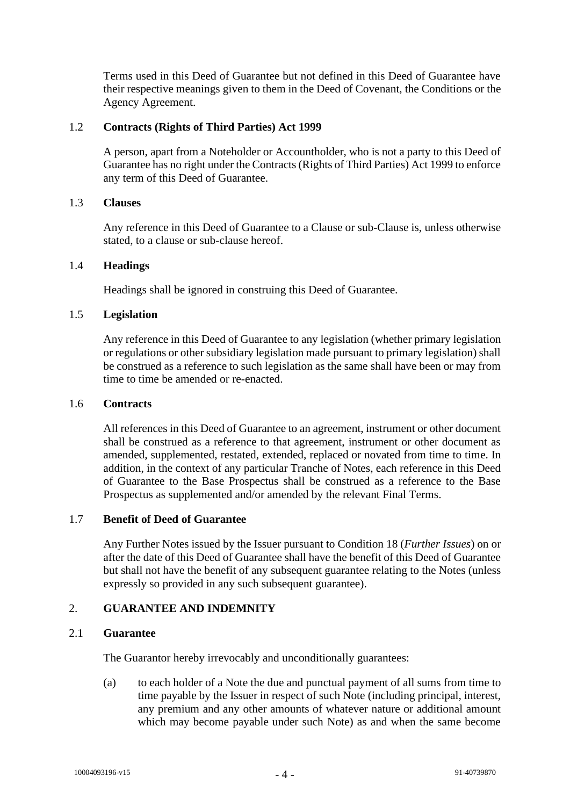Terms used in this Deed of Guarantee but not defined in this Deed of Guarantee have their respective meanings given to them in the Deed of Covenant, the Conditions or the Agency Agreement.

# 1.2 **Contracts (Rights of Third Parties) Act 1999**

A person, apart from a Noteholder or Accountholder, who is not a party to this Deed of Guarantee has no right under the Contracts (Rights of Third Parties) Act 1999 to enforce any term of this Deed of Guarantee.

# 1.3 **Clauses**

Any reference in this Deed of Guarantee to a Clause or sub-Clause is, unless otherwise stated, to a clause or sub-clause hereof.

# 1.4 **Headings**

Headings shall be ignored in construing this Deed of Guarantee.

# 1.5 **Legislation**

Any reference in this Deed of Guarantee to any legislation (whether primary legislation or regulations or other subsidiary legislation made pursuant to primary legislation) shall be construed as a reference to such legislation as the same shall have been or may from time to time be amended or re-enacted.

# 1.6 **Contracts**

All references in this Deed of Guarantee to an agreement, instrument or other document shall be construed as a reference to that agreement, instrument or other document as amended, supplemented, restated, extended, replaced or novated from time to time. In addition, in the context of any particular Tranche of Notes, each reference in this Deed of Guarantee to the Base Prospectus shall be construed as a reference to the Base Prospectus as supplemented and/or amended by the relevant Final Terms.

# 1.7 **Benefit of Deed of Guarantee**

Any Further Notes issued by the Issuer pursuant to Condition 18 (*Further Issues*) on or after the date of this Deed of Guarantee shall have the benefit of this Deed of Guarantee but shall not have the benefit of any subsequent guarantee relating to the Notes (unless expressly so provided in any such subsequent guarantee).

# 2. **GUARANTEE AND INDEMNITY**

# 2.1 **Guarantee**

The Guarantor hereby irrevocably and unconditionally guarantees:

(a) to each holder of a Note the due and punctual payment of all sums from time to time payable by the Issuer in respect of such Note (including principal, interest, any premium and any other amounts of whatever nature or additional amount which may become payable under such Note) as and when the same become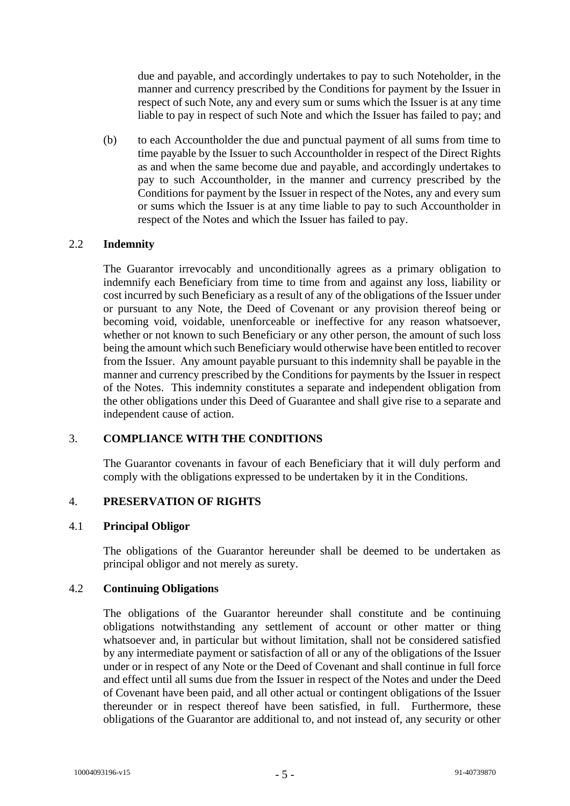due and payable, and accordingly undertakes to pay to such Noteholder, in the manner and currency prescribed by the Conditions for payment by the Issuer in respect of such Note, any and every sum or sums which the Issuer is at any time liable to pay in respect of such Note and which the Issuer has failed to pay; and

(b) to each Accountholder the due and punctual payment of all sums from time to time payable by the Issuer to such Accountholder in respect of the Direct Rights as and when the same become due and payable, and accordingly undertakes to pay to such Accountholder, in the manner and currency prescribed by the Conditions for payment by the Issuer in respect of the Notes, any and every sum or sums which the Issuer is at any time liable to pay to such Accountholder in respect of the Notes and which the Issuer has failed to pay.

# 2.2 **Indemnity**

The Guarantor irrevocably and unconditionally agrees as a primary obligation to indemnify each Beneficiary from time to time from and against any loss, liability or cost incurred by such Beneficiary as a result of any of the obligations of the Issuer under or pursuant to any Note, the Deed of Covenant or any provision thereof being or becoming void, voidable, unenforceable or ineffective for any reason whatsoever, whether or not known to such Beneficiary or any other person, the amount of such loss being the amount which such Beneficiary would otherwise have been entitled to recover from the Issuer. Any amount payable pursuant to this indemnity shall be payable in the manner and currency prescribed by the Conditions for payments by the Issuer in respect of the Notes. This indemnity constitutes a separate and independent obligation from the other obligations under this Deed of Guarantee and shall give rise to a separate and independent cause of action.

# 3. **COMPLIANCE WITH THE CONDITIONS**

The Guarantor covenants in favour of each Beneficiary that it will duly perform and comply with the obligations expressed to be undertaken by it in the Conditions.

# 4. **PRESERVATION OF RIGHTS**

# 4.1 **Principal Obligor**

The obligations of the Guarantor hereunder shall be deemed to be undertaken as principal obligor and not merely as surety.

# 4.2 **Continuing Obligations**

The obligations of the Guarantor hereunder shall constitute and be continuing obligations notwithstanding any settlement of account or other matter or thing whatsoever and, in particular but without limitation, shall not be considered satisfied by any intermediate payment or satisfaction of all or any of the obligations of the Issuer under or in respect of any Note or the Deed of Covenant and shall continue in full force and effect until all sums due from the Issuer in respect of the Notes and under the Deed of Covenant have been paid, and all other actual or contingent obligations of the Issuer thereunder or in respect thereof have been satisfied, in full. Furthermore, these obligations of the Guarantor are additional to, and not instead of, any security or other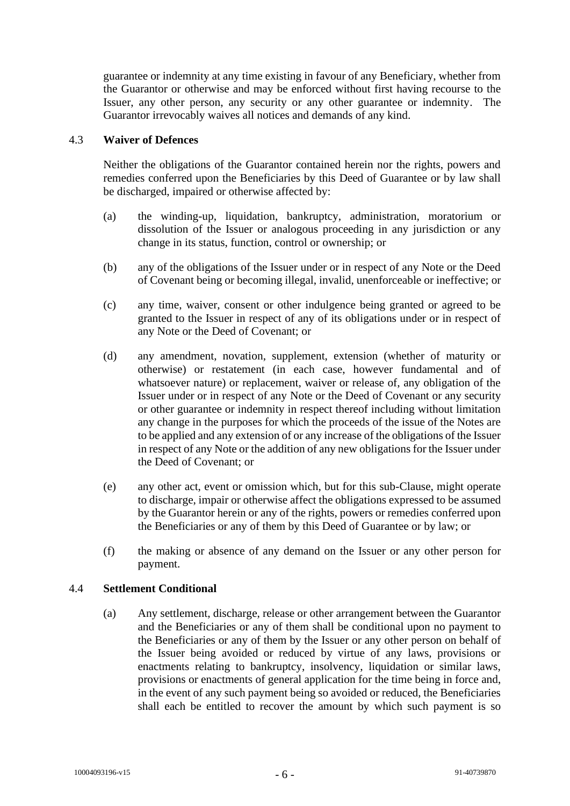guarantee or indemnity at any time existing in favour of any Beneficiary, whether from the Guarantor or otherwise and may be enforced without first having recourse to the Issuer, any other person, any security or any other guarantee or indemnity. The Guarantor irrevocably waives all notices and demands of any kind.

### 4.3 **Waiver of Defences**

Neither the obligations of the Guarantor contained herein nor the rights, powers and remedies conferred upon the Beneficiaries by this Deed of Guarantee or by law shall be discharged, impaired or otherwise affected by:

- (a) the winding-up, liquidation, bankruptcy, administration, moratorium or dissolution of the Issuer or analogous proceeding in any jurisdiction or any change in its status, function, control or ownership; or
- (b) any of the obligations of the Issuer under or in respect of any Note or the Deed of Covenant being or becoming illegal, invalid, unenforceable or ineffective; or
- (c) any time, waiver, consent or other indulgence being granted or agreed to be granted to the Issuer in respect of any of its obligations under or in respect of any Note or the Deed of Covenant; or
- (d) any amendment, novation, supplement, extension (whether of maturity or otherwise) or restatement (in each case, however fundamental and of whatsoever nature) or replacement, waiver or release of, any obligation of the Issuer under or in respect of any Note or the Deed of Covenant or any security or other guarantee or indemnity in respect thereof including without limitation any change in the purposes for which the proceeds of the issue of the Notes are to be applied and any extension of or any increase of the obligations of the Issuer in respect of any Note or the addition of any new obligations for the Issuer under the Deed of Covenant; or
- (e) any other act, event or omission which, but for this sub-Clause, might operate to discharge, impair or otherwise affect the obligations expressed to be assumed by the Guarantor herein or any of the rights, powers or remedies conferred upon the Beneficiaries or any of them by this Deed of Guarantee or by law; or
- (f) the making or absence of any demand on the Issuer or any other person for payment.

# 4.4 **Settlement Conditional**

(a) Any settlement, discharge, release or other arrangement between the Guarantor and the Beneficiaries or any of them shall be conditional upon no payment to the Beneficiaries or any of them by the Issuer or any other person on behalf of the Issuer being avoided or reduced by virtue of any laws, provisions or enactments relating to bankruptcy, insolvency, liquidation or similar laws, provisions or enactments of general application for the time being in force and, in the event of any such payment being so avoided or reduced, the Beneficiaries shall each be entitled to recover the amount by which such payment is so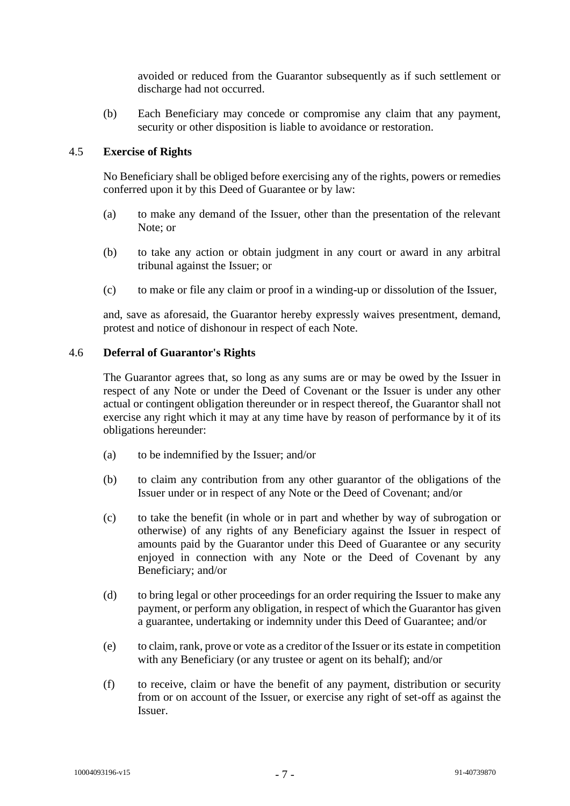avoided or reduced from the Guarantor subsequently as if such settlement or discharge had not occurred.

(b) Each Beneficiary may concede or compromise any claim that any payment, security or other disposition is liable to avoidance or restoration.

# 4.5 **Exercise of Rights**

No Beneficiary shall be obliged before exercising any of the rights, powers or remedies conferred upon it by this Deed of Guarantee or by law:

- (a) to make any demand of the Issuer, other than the presentation of the relevant Note; or
- (b) to take any action or obtain judgment in any court or award in any arbitral tribunal against the Issuer; or
- (c) to make or file any claim or proof in a winding-up or dissolution of the Issuer,

and, save as aforesaid, the Guarantor hereby expressly waives presentment, demand, protest and notice of dishonour in respect of each Note.

### 4.6 **Deferral of Guarantor's Rights**

The Guarantor agrees that, so long as any sums are or may be owed by the Issuer in respect of any Note or under the Deed of Covenant or the Issuer is under any other actual or contingent obligation thereunder or in respect thereof, the Guarantor shall not exercise any right which it may at any time have by reason of performance by it of its obligations hereunder:

- (a) to be indemnified by the Issuer; and/or
- (b) to claim any contribution from any other guarantor of the obligations of the Issuer under or in respect of any Note or the Deed of Covenant; and/or
- (c) to take the benefit (in whole or in part and whether by way of subrogation or otherwise) of any rights of any Beneficiary against the Issuer in respect of amounts paid by the Guarantor under this Deed of Guarantee or any security enjoyed in connection with any Note or the Deed of Covenant by any Beneficiary; and/or
- (d) to bring legal or other proceedings for an order requiring the Issuer to make any payment, or perform any obligation, in respect of which the Guarantor has given a guarantee, undertaking or indemnity under this Deed of Guarantee; and/or
- (e) to claim, rank, prove or vote as a creditor of the Issuer or its estate in competition with any Beneficiary (or any trustee or agent on its behalf); and/or
- (f) to receive, claim or have the benefit of any payment, distribution or security from or on account of the Issuer, or exercise any right of set-off as against the Issuer.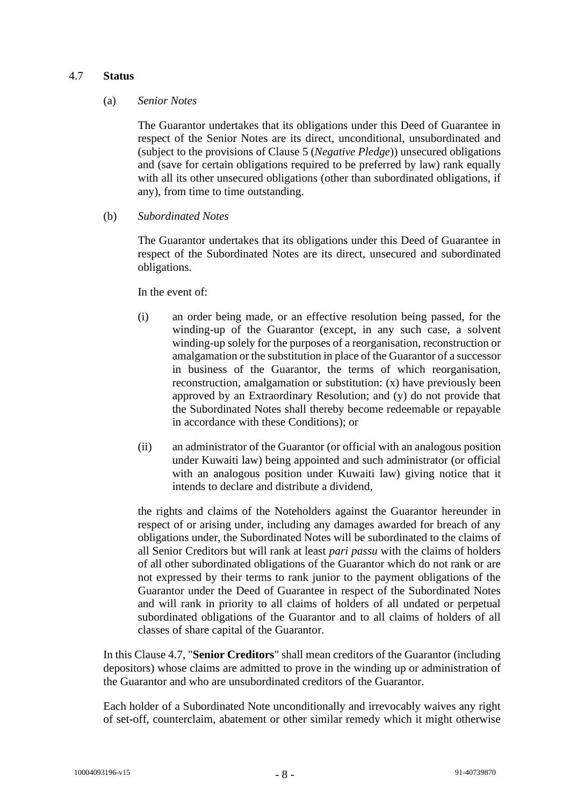### <span id="page-9-0"></span>4.7 **Status**

#### (a) *Senior Notes*

The Guarantor undertakes that its obligations under this Deed of Guarantee in respect of the Senior Notes are its direct, unconditional, unsubordinated and (subject to the provisions of Clause [5](#page-10-0) (*Negative Pledge*)) unsecured obligations and (save for certain obligations required to be preferred by law) rank equally with all its other unsecured obligations (other than subordinated obligations, if any), from time to time outstanding.

(b) *Subordinated Notes*

The Guarantor undertakes that its obligations under this Deed of Guarantee in respect of the Subordinated Notes are its direct, unsecured and subordinated obligations.

In the event of:

- (i) an order being made, or an effective resolution being passed, for the winding-up of the Guarantor (except, in any such case, a solvent winding-up solely for the purposes of a reorganisation, reconstruction or amalgamation or the substitution in place of the Guarantor of a successor in business of the Guarantor, the terms of which reorganisation, reconstruction, amalgamation or substitution: (x) have previously been approved by an Extraordinary Resolution; and (y) do not provide that the Subordinated Notes shall thereby become redeemable or repayable in accordance with these Conditions); or
- (ii) an administrator of the Guarantor (or official with an analogous position under Kuwaiti law) being appointed and such administrator (or official with an analogous position under Kuwaiti law) giving notice that it intends to declare and distribute a dividend,

the rights and claims of the Noteholders against the Guarantor hereunder in respect of or arising under, including any damages awarded for breach of any obligations under, the Subordinated Notes will be subordinated to the claims of all Senior Creditors but will rank at least *pari passu* with the claims of holders of all other subordinated obligations of the Guarantor which do not rank or are not expressed by their terms to rank junior to the payment obligations of the Guarantor under the Deed of Guarantee in respect of the Subordinated Notes and will rank in priority to all claims of holders of all undated or perpetual subordinated obligations of the Guarantor and to all claims of holders of all classes of share capital of the Guarantor.

In this Clause [4.7,](#page-9-0) "**Senior Creditors**" shall mean creditors of the Guarantor (including depositors) whose claims are admitted to prove in the winding up or administration of the Guarantor and who are unsubordinated creditors of the Guarantor.

Each holder of a Subordinated Note unconditionally and irrevocably waives any right of set-off, counterclaim, abatement or other similar remedy which it might otherwise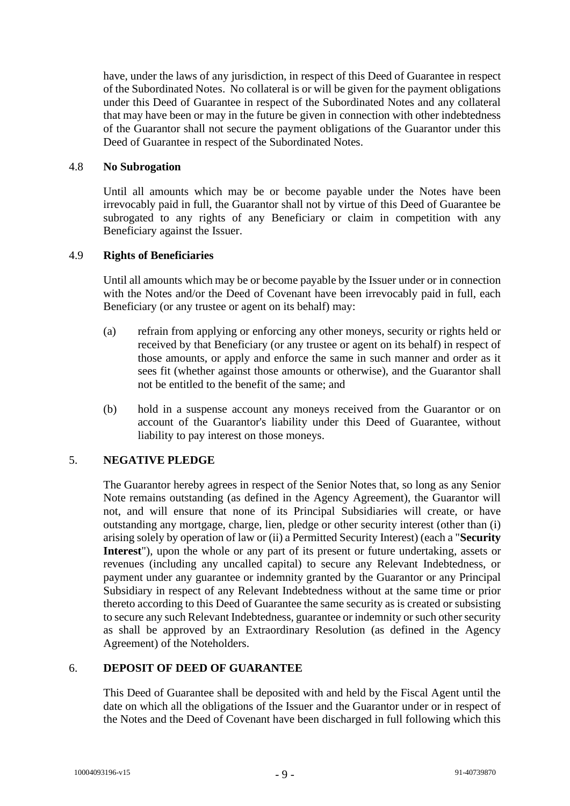have, under the laws of any jurisdiction, in respect of this Deed of Guarantee in respect of the Subordinated Notes. No collateral is or will be given for the payment obligations under this Deed of Guarantee in respect of the Subordinated Notes and any collateral that may have been or may in the future be given in connection with other indebtedness of the Guarantor shall not secure the payment obligations of the Guarantor under this Deed of Guarantee in respect of the Subordinated Notes.

### 4.8 **No Subrogation**

Until all amounts which may be or become payable under the Notes have been irrevocably paid in full, the Guarantor shall not by virtue of this Deed of Guarantee be subrogated to any rights of any Beneficiary or claim in competition with any Beneficiary against the Issuer.

# 4.9 **Rights of Beneficiaries**

Until all amounts which may be or become payable by the Issuer under or in connection with the Notes and/or the Deed of Covenant have been irrevocably paid in full, each Beneficiary (or any trustee or agent on its behalf) may:

- (a) refrain from applying or enforcing any other moneys, security or rights held or received by that Beneficiary (or any trustee or agent on its behalf) in respect of those amounts, or apply and enforce the same in such manner and order as it sees fit (whether against those amounts or otherwise), and the Guarantor shall not be entitled to the benefit of the same; and
- (b) hold in a suspense account any moneys received from the Guarantor or on account of the Guarantor's liability under this Deed of Guarantee, without liability to pay interest on those moneys.

# <span id="page-10-0"></span>5. **NEGATIVE PLEDGE**

The Guarantor hereby agrees in respect of the Senior Notes that, so long as any Senior Note remains outstanding (as defined in the Agency Agreement), the Guarantor will not, and will ensure that none of its Principal Subsidiaries will create, or have outstanding any mortgage, charge, lien, pledge or other security interest (other than (i) arising solely by operation of law or (ii) a Permitted Security Interest) (each a "**Security Interest**"), upon the whole or any part of its present or future undertaking, assets or revenues (including any uncalled capital) to secure any Relevant Indebtedness, or payment under any guarantee or indemnity granted by the Guarantor or any Principal Subsidiary in respect of any Relevant Indebtedness without at the same time or prior thereto according to this Deed of Guarantee the same security as is created or subsisting to secure any such Relevant Indebtedness, guarantee or indemnity or such other security as shall be approved by an Extraordinary Resolution (as defined in the Agency Agreement) of the Noteholders.

# 6. **DEPOSIT OF DEED OF GUARANTEE**

This Deed of Guarantee shall be deposited with and held by the Fiscal Agent until the date on which all the obligations of the Issuer and the Guarantor under or in respect of the Notes and the Deed of Covenant have been discharged in full following which this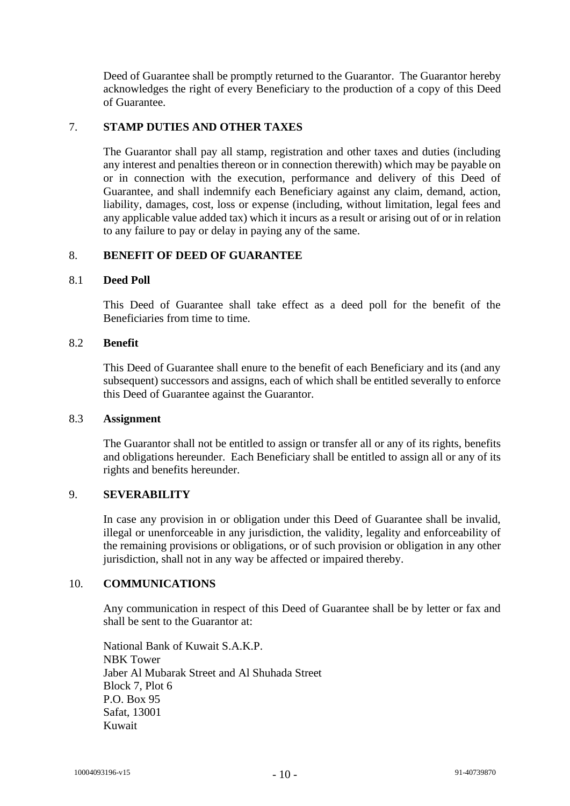Deed of Guarantee shall be promptly returned to the Guarantor. The Guarantor hereby acknowledges the right of every Beneficiary to the production of a copy of this Deed of Guarantee.

# 7. **STAMP DUTIES AND OTHER TAXES**

The Guarantor shall pay all stamp, registration and other taxes and duties (including any interest and penalties thereon or in connection therewith) which may be payable on or in connection with the execution, performance and delivery of this Deed of Guarantee, and shall indemnify each Beneficiary against any claim, demand, action, liability, damages, cost, loss or expense (including, without limitation, legal fees and any applicable value added tax) which it incurs as a result or arising out of or in relation to any failure to pay or delay in paying any of the same.

# 8. **BENEFIT OF DEED OF GUARANTEE**

#### 8.1 **Deed Poll**

This Deed of Guarantee shall take effect as a deed poll for the benefit of the Beneficiaries from time to time.

#### 8.2 **Benefit**

This Deed of Guarantee shall enure to the benefit of each Beneficiary and its (and any subsequent) successors and assigns, each of which shall be entitled severally to enforce this Deed of Guarantee against the Guarantor.

### 8.3 **Assignment**

The Guarantor shall not be entitled to assign or transfer all or any of its rights, benefits and obligations hereunder. Each Beneficiary shall be entitled to assign all or any of its rights and benefits hereunder.

# 9. **SEVERABILITY**

In case any provision in or obligation under this Deed of Guarantee shall be invalid, illegal or unenforceable in any jurisdiction, the validity, legality and enforceability of the remaining provisions or obligations, or of such provision or obligation in any other jurisdiction, shall not in any way be affected or impaired thereby.

# 10. **COMMUNICATIONS**

Any communication in respect of this Deed of Guarantee shall be by letter or fax and shall be sent to the Guarantor at:

National Bank of Kuwait S.A.K.P. NBK Tower Jaber Al Mubarak Street and Al Shuhada Street Block 7, Plot 6 P.O. Box 95 Safat, 13001 Kuwait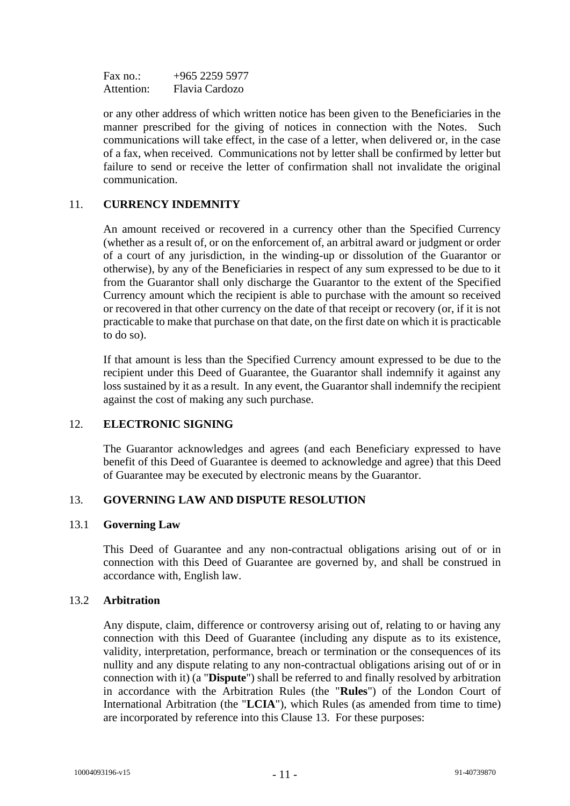Fax no.:  $+965\,2259\,5977$ Attention: Flavia Cardozo

or any other address of which written notice has been given to the Beneficiaries in the manner prescribed for the giving of notices in connection with the Notes. Such communications will take effect, in the case of a letter, when delivered or, in the case of a fax, when received. Communications not by letter shall be confirmed by letter but failure to send or receive the letter of confirmation shall not invalidate the original communication.

# 11. **CURRENCY INDEMNITY**

An amount received or recovered in a currency other than the Specified Currency (whether as a result of, or on the enforcement of, an arbitral award or judgment or order of a court of any jurisdiction, in the winding-up or dissolution of the Guarantor or otherwise), by any of the Beneficiaries in respect of any sum expressed to be due to it from the Guarantor shall only discharge the Guarantor to the extent of the Specified Currency amount which the recipient is able to purchase with the amount so received or recovered in that other currency on the date of that receipt or recovery (or, if it is not practicable to make that purchase on that date, on the first date on which it is practicable to do so).

If that amount is less than the Specified Currency amount expressed to be due to the recipient under this Deed of Guarantee, the Guarantor shall indemnify it against any loss sustained by it as a result. In any event, the Guarantor shall indemnify the recipient against the cost of making any such purchase.

# 12. **ELECTRONIC SIGNING**

The Guarantor acknowledges and agrees (and each Beneficiary expressed to have benefit of this Deed of Guarantee is deemed to acknowledge and agree) that this Deed of Guarantee may be executed by electronic means by the Guarantor.

# <span id="page-12-0"></span>13. **GOVERNING LAW AND DISPUTE RESOLUTION**

#### 13.1 **Governing Law**

This Deed of Guarantee and any non-contractual obligations arising out of or in connection with this Deed of Guarantee are governed by, and shall be construed in accordance with, English law.

#### 13.2 **Arbitration**

Any dispute, claim, difference or controversy arising out of, relating to or having any connection with this Deed of Guarantee (including any dispute as to its existence, validity, interpretation, performance, breach or termination or the consequences of its nullity and any dispute relating to any non-contractual obligations arising out of or in connection with it) (a "**Dispute**") shall be referred to and finally resolved by arbitration in accordance with the Arbitration Rules (the "**Rules**") of the London Court of International Arbitration (the "**LCIA**"), which Rules (as amended from time to time) are incorporated by reference into this Clause [13.](#page-12-0) For these purposes: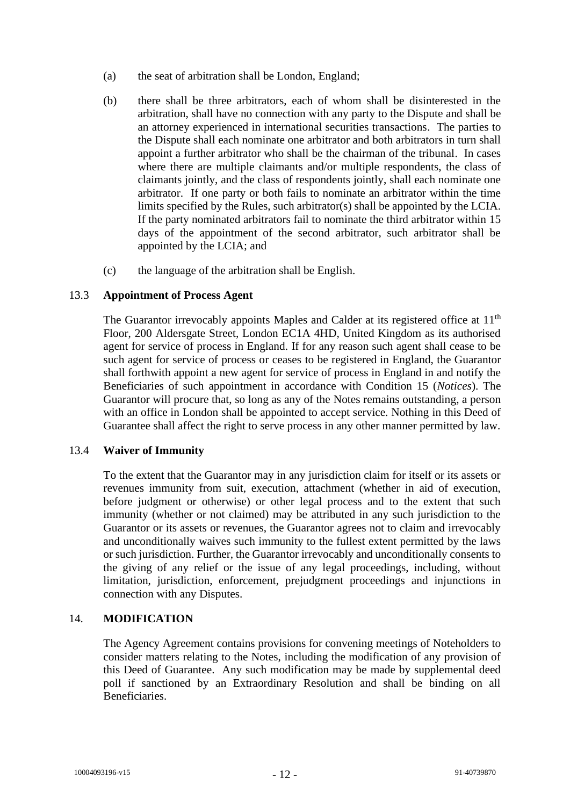- (a) the seat of arbitration shall be London, England;
- (b) there shall be three arbitrators, each of whom shall be disinterested in the arbitration, shall have no connection with any party to the Dispute and shall be an attorney experienced in international securities transactions. The parties to the Dispute shall each nominate one arbitrator and both arbitrators in turn shall appoint a further arbitrator who shall be the chairman of the tribunal. In cases where there are multiple claimants and/or multiple respondents, the class of claimants jointly, and the class of respondents jointly, shall each nominate one arbitrator. If one party or both fails to nominate an arbitrator within the time limits specified by the Rules, such arbitrator(s) shall be appointed by the LCIA. If the party nominated arbitrators fail to nominate the third arbitrator within 15 days of the appointment of the second arbitrator, such arbitrator shall be appointed by the LCIA; and
- (c) the language of the arbitration shall be English.

# 13.3 **Appointment of Process Agent**

The Guarantor irrevocably appoints Maples and Calder at its registered office at 11<sup>th</sup> Floor, 200 Aldersgate Street, London EC1A 4HD, United Kingdom as its authorised agent for service of process in England. If for any reason such agent shall cease to be such agent for service of process or ceases to be registered in England, the Guarantor shall forthwith appoint a new agent for service of process in England in and notify the Beneficiaries of such appointment in accordance with Condition 15 (*Notices*). The Guarantor will procure that, so long as any of the Notes remains outstanding, a person with an office in London shall be appointed to accept service. Nothing in this Deed of Guarantee shall affect the right to serve process in any other manner permitted by law.

# 13.4 **Waiver of Immunity**

To the extent that the Guarantor may in any jurisdiction claim for itself or its assets or revenues immunity from suit, execution, attachment (whether in aid of execution, before judgment or otherwise) or other legal process and to the extent that such immunity (whether or not claimed) may be attributed in any such jurisdiction to the Guarantor or its assets or revenues, the Guarantor agrees not to claim and irrevocably and unconditionally waives such immunity to the fullest extent permitted by the laws or such jurisdiction. Further, the Guarantor irrevocably and unconditionally consents to the giving of any relief or the issue of any legal proceedings, including, without limitation, jurisdiction, enforcement, prejudgment proceedings and injunctions in connection with any Disputes.

# 14. **MODIFICATION**

The Agency Agreement contains provisions for convening meetings of Noteholders to consider matters relating to the Notes, including the modification of any provision of this Deed of Guarantee. Any such modification may be made by supplemental deed poll if sanctioned by an Extraordinary Resolution and shall be binding on all Beneficiaries.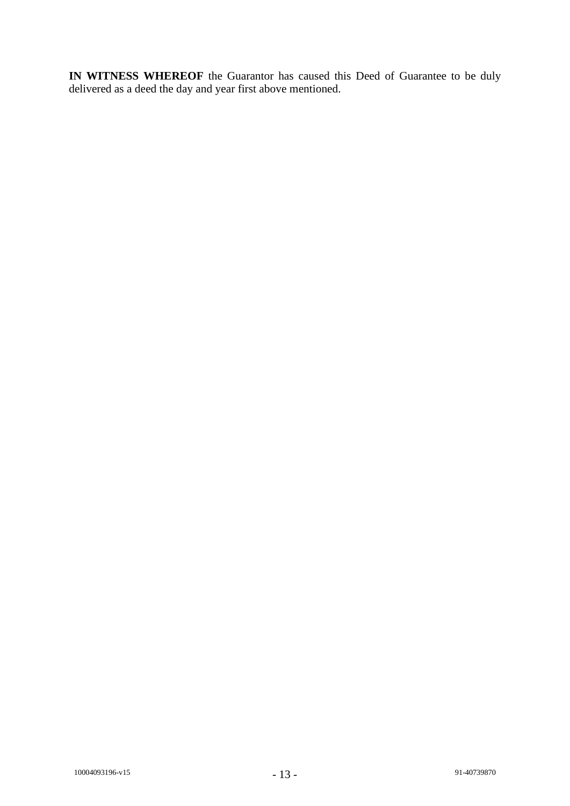**IN WITNESS WHEREOF** the Guarantor has caused this Deed of Guarantee to be duly delivered as a deed the day and year first above mentioned.